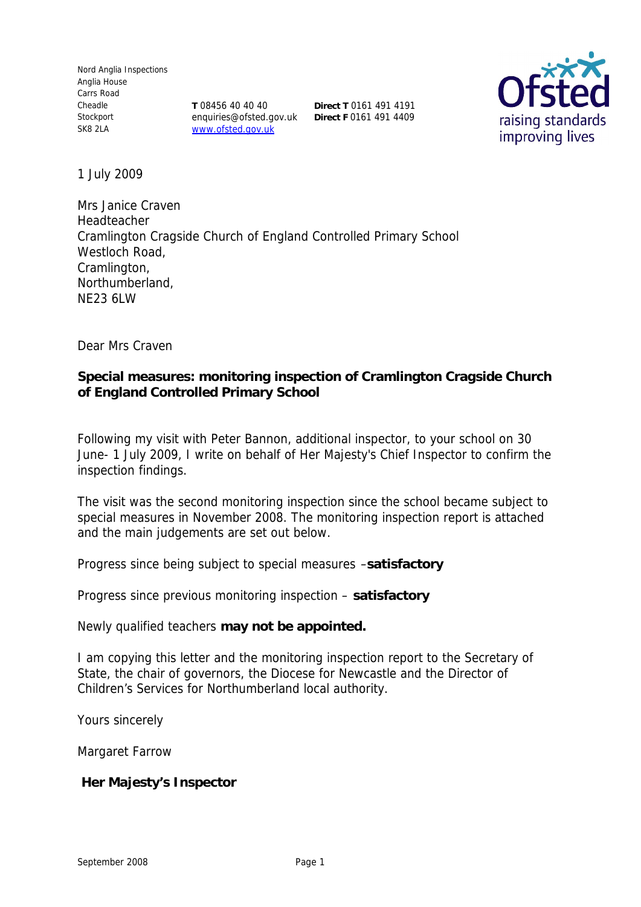Nord Anglia Inspections Anglia House Carrs Road Cheadle Stockport SK8 2LA

**T** 08456 40 40 40 **Direct T** 0161 491 4191 enquiries@ofsted.gov.uk **Direct F** 0161 491 4409www.ofsted.gov.uk



1 July 2009

Mrs Janice Craven Headteacher Cramlington Cragside Church of England Controlled Primary School Westloch Road, Cramlington, Northumberland, NE23 6LW

Dear Mrs Craven

**Special measures: monitoring inspection of Cramlington Cragside Church of England Controlled Primary School**

Following my visit with Peter Bannon, additional inspector, to your school on 30 June- 1 July 2009, I write on behalf of Her Majesty's Chief Inspector to confirm the inspection findings.

The visit was the second monitoring inspection since the school became subject to special measures in November 2008. The monitoring inspection report is attached and the main judgements are set out below.

Progress since being subject to special measures –**satisfactory**

Progress since previous monitoring inspection – **satisfactory**

Newly qualified teachers **may not be appointed.**

I am copying this letter and the monitoring inspection report to the Secretary of State, the chair of governors, the Diocese for Newcastle and the Director of Children's Services for Northumberland local authority.

Yours sincerely

Margaret Farrow

 **Her Majesty's Inspector**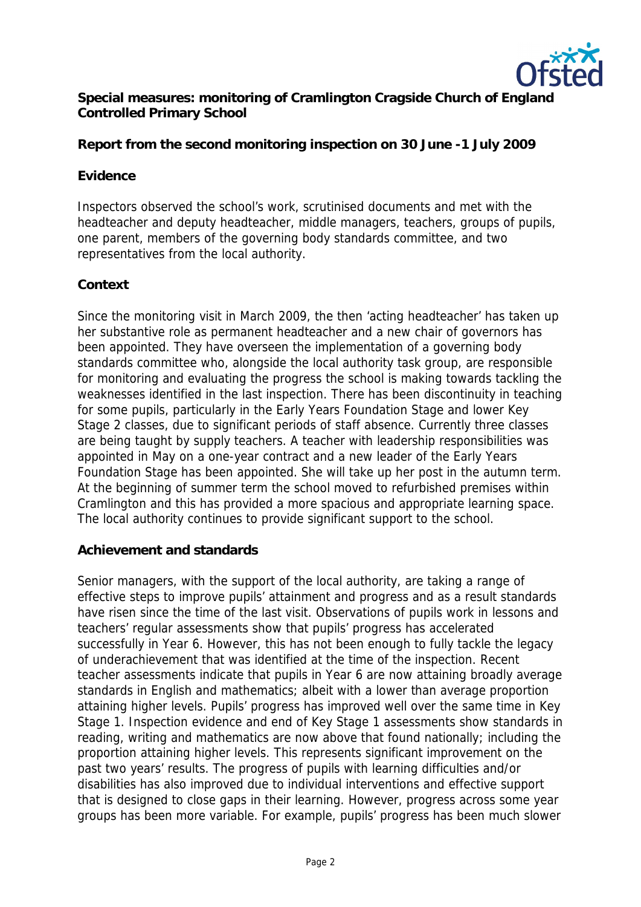

**Special measures: monitoring of Cramlington Cragside Church of England Controlled Primary School**

**Report from the second monitoring inspection on 30 June -1 July 2009**

### **Evidence**

Inspectors observed the school's work, scrutinised documents and met with the headteacher and deputy headteacher, middle managers, teachers, groups of pupils, one parent, members of the governing body standards committee, and two representatives from the local authority.

## **Context**

Since the monitoring visit in March 2009, the then 'acting headteacher' has taken up her substantive role as permanent headteacher and a new chair of governors has been appointed. They have overseen the implementation of a governing body standards committee who, alongside the local authority task group, are responsible for monitoring and evaluating the progress the school is making towards tackling the weaknesses identified in the last inspection. There has been discontinuity in teaching for some pupils, particularly in the Early Years Foundation Stage and lower Key Stage 2 classes, due to significant periods of staff absence. Currently three classes are being taught by supply teachers. A teacher with leadership responsibilities was appointed in May on a one-year contract and a new leader of the Early Years Foundation Stage has been appointed. She will take up her post in the autumn term. At the beginning of summer term the school moved to refurbished premises within Cramlington and this has provided a more spacious and appropriate learning space. The local authority continues to provide significant support to the school.

#### **Achievement and standards**

Senior managers, with the support of the local authority, are taking a range of effective steps to improve pupils' attainment and progress and as a result standards have risen since the time of the last visit. Observations of pupils work in lessons and teachers' regular assessments show that pupils' progress has accelerated successfully in Year 6. However, this has not been enough to fully tackle the legacy of underachievement that was identified at the time of the inspection. Recent teacher assessments indicate that pupils in Year 6 are now attaining broadly average standards in English and mathematics; albeit with a lower than average proportion attaining higher levels. Pupils' progress has improved well over the same time in Key Stage 1. Inspection evidence and end of Key Stage 1 assessments show standards in reading, writing and mathematics are now above that found nationally; including the proportion attaining higher levels. This represents significant improvement on the past two years' results. The progress of pupils with learning difficulties and/or disabilities has also improved due to individual interventions and effective support that is designed to close gaps in their learning. However, progress across some year groups has been more variable. For example, pupils' progress has been much slower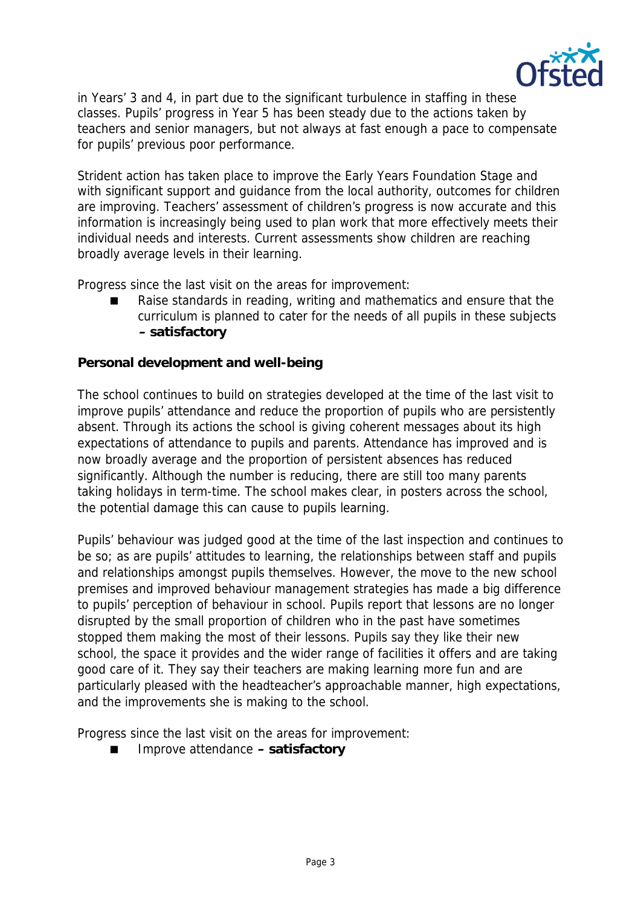

in Years' 3 and 4, in part due to the significant turbulence in staffing in these classes. Pupils' progress in Year 5 has been steady due to the actions taken by teachers and senior managers, but not always at fast enough a pace to compensate for pupils' previous poor performance.

Strident action has taken place to improve the Early Years Foundation Stage and with significant support and guidance from the local authority, outcomes for children are improving. Teachers' assessment of children's progress is now accurate and this information is increasingly being used to plan work that more effectively meets their individual needs and interests. Current assessments show children are reaching broadly average levels in their learning.

Progress since the last visit on the areas for improvement:

 Raise standards in reading, writing and mathematics and ensure that the curriculum is planned to cater for the needs of all pupils in these subjects **– satisfactory**

**Personal development and well-being**

The school continues to build on strategies developed at the time of the last visit to improve pupils' attendance and reduce the proportion of pupils who are persistently absent. Through its actions the school is giving coherent messages about its high expectations of attendance to pupils and parents. Attendance has improved and is now broadly average and the proportion of persistent absences has reduced significantly. Although the number is reducing, there are still too many parents taking holidays in term-time. The school makes clear, in posters across the school, the potential damage this can cause to pupils learning.

Pupils' behaviour was judged good at the time of the last inspection and continues to be so; as are pupils' attitudes to learning, the relationships between staff and pupils and relationships amongst pupils themselves. However, the move to the new school premises and improved behaviour management strategies has made a big difference to pupils' perception of behaviour in school. Pupils report that lessons are no longer disrupted by the small proportion of children who in the past have sometimes stopped them making the most of their lessons. Pupils say they like their new school, the space it provides and the wider range of facilities it offers and are taking good care of it. They say their teachers are making learning more fun and are particularly pleased with the headteacher's approachable manner, high expectations, and the improvements she is making to the school.

Progress since the last visit on the areas for improvement:

■ Improve attendance – satisfactory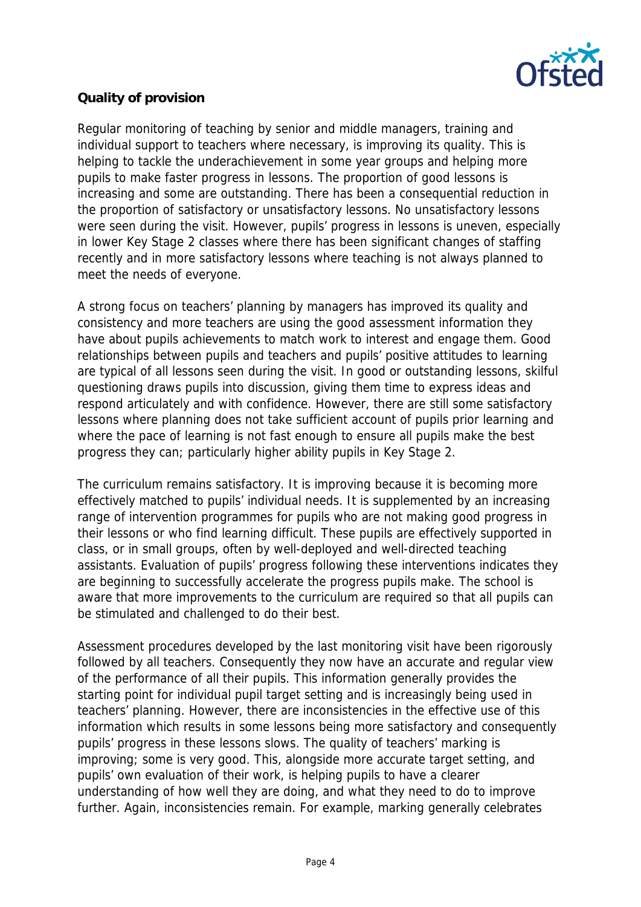

# **Quality of provision**

Regular monitoring of teaching by senior and middle managers, training and individual support to teachers where necessary, is improving its quality. This is helping to tackle the underachievement in some year groups and helping more pupils to make faster progress in lessons. The proportion of good lessons is increasing and some are outstanding. There has been a consequential reduction in the proportion of satisfactory or unsatisfactory lessons. No unsatisfactory lessons were seen during the visit. However, pupils' progress in lessons is uneven, especially in lower Key Stage 2 classes where there has been significant changes of staffing recently and in more satisfactory lessons where teaching is not always planned to meet the needs of everyone.

A strong focus on teachers' planning by managers has improved its quality and consistency and more teachers are using the good assessment information they have about pupils achievements to match work to interest and engage them. Good relationships between pupils and teachers and pupils' positive attitudes to learning are typical of all lessons seen during the visit. In good or outstanding lessons, skilful questioning draws pupils into discussion, giving them time to express ideas and respond articulately and with confidence. However, there are still some satisfactory lessons where planning does not take sufficient account of pupils prior learning and where the pace of learning is not fast enough to ensure all pupils make the best progress they can; particularly higher ability pupils in Key Stage 2.

The curriculum remains satisfactory. It is improving because it is becoming more effectively matched to pupils' individual needs. It is supplemented by an increasing range of intervention programmes for pupils who are not making good progress in their lessons or who find learning difficult. These pupils are effectively supported in class, or in small groups, often by well-deployed and well-directed teaching assistants. Evaluation of pupils' progress following these interventions indicates they are beginning to successfully accelerate the progress pupils make. The school is aware that more improvements to the curriculum are required so that all pupils can be stimulated and challenged to do their best.

Assessment procedures developed by the last monitoring visit have been rigorously followed by all teachers. Consequently they now have an accurate and regular view of the performance of all their pupils. This information generally provides the starting point for individual pupil target setting and is increasingly being used in teachers' planning. However, there are inconsistencies in the effective use of this information which results in some lessons being more satisfactory and consequently pupils' progress in these lessons slows. The quality of teachers' marking is improving; some is very good. This, alongside more accurate target setting, and pupils' own evaluation of their work, is helping pupils to have a clearer understanding of how well they are doing, and what they need to do to improve further. Again, inconsistencies remain. For example, marking generally celebrates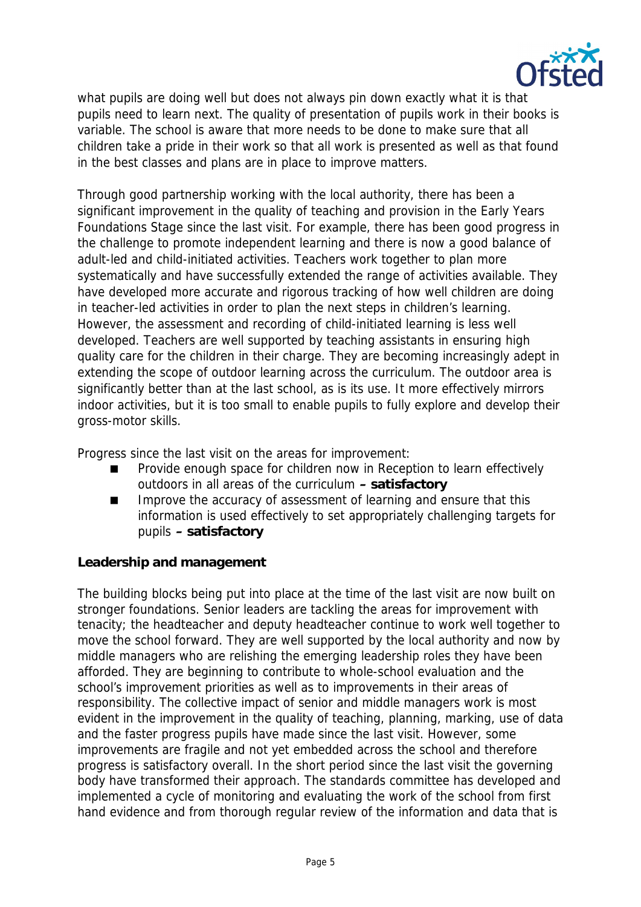

what pupils are doing well but does not always pin down exactly what it is that pupils need to learn next. The quality of presentation of pupils work in their books is variable. The school is aware that more needs to be done to make sure that all children take a pride in their work so that all work is presented as well as that found in the best classes and plans are in place to improve matters.

Through good partnership working with the local authority, there has been a significant improvement in the quality of teaching and provision in the Early Years Foundations Stage since the last visit. For example, there has been good progress in the challenge to promote independent learning and there is now a good balance of adult-led and child-initiated activities. Teachers work together to plan more systematically and have successfully extended the range of activities available. They have developed more accurate and rigorous tracking of how well children are doing in teacher-led activities in order to plan the next steps in children's learning. However, the assessment and recording of child-initiated learning is less well developed. Teachers are well supported by teaching assistants in ensuring high quality care for the children in their charge. They are becoming increasingly adept in extending the scope of outdoor learning across the curriculum. The outdoor area is significantly better than at the last school, as is its use. It more effectively mirrors indoor activities, but it is too small to enable pupils to fully explore and develop their gross-motor skills.

Progress since the last visit on the areas for improvement:

- Provide enough space for children now in Reception to learn effectively outdoors in all areas of the curriculum **– satisfactory**
- **IMPROVE THE ACCUTE ASSESSMENT OF LEART IS A LIMIT CONCERNATION** Integration Integration Integration Integral of that this information is used effectively to set appropriately challenging targets for pupils **– satisfactory**

# **Leadership and management**

The building blocks being put into place at the time of the last visit are now built on stronger foundations. Senior leaders are tackling the areas for improvement with tenacity; the headteacher and deputy headteacher continue to work well together to move the school forward. They are well supported by the local authority and now by middle managers who are relishing the emerging leadership roles they have been afforded. They are beginning to contribute to whole-school evaluation and the school's improvement priorities as well as to improvements in their areas of responsibility. The collective impact of senior and middle managers work is most evident in the improvement in the quality of teaching, planning, marking, use of data and the faster progress pupils have made since the last visit. However, some improvements are fragile and not yet embedded across the school and therefore progress is satisfactory overall. In the short period since the last visit the governing body have transformed their approach. The standards committee has developed and implemented a cycle of monitoring and evaluating the work of the school from first hand evidence and from thorough regular review of the information and data that is